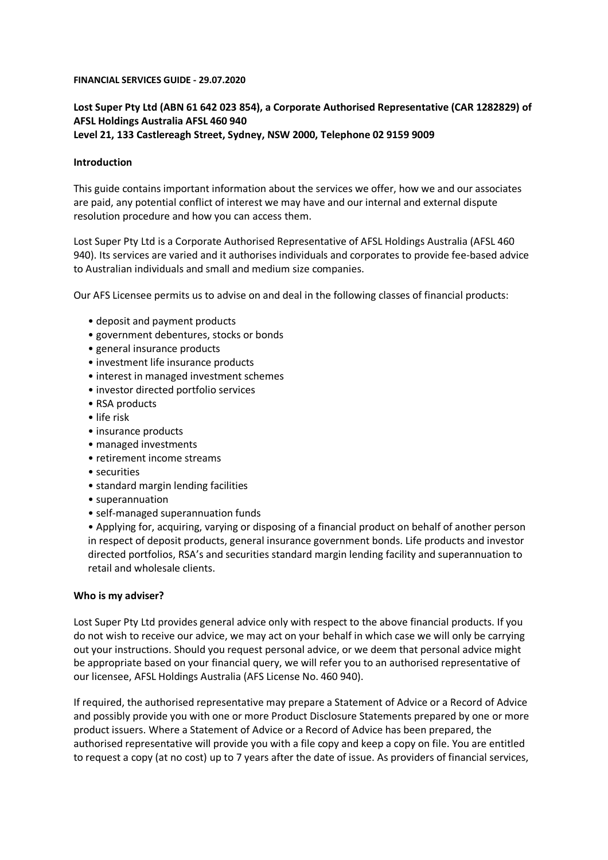#### **FINANCIAL SERVICES GUIDE - 29.07.2020**

# **Lost Super Pty Ltd (ABN 61 642 023 854), a Corporate Authorised Representative (CAR 1282829) of AFSL Holdings Australia AFSL 460 940 Level 21, 133 Castlereagh Street, Sydney, NSW 2000, Telephone 02 9159 9009**

### **Introduction**

This guide contains important information about the services we offer, how we and our associates are paid, any potential conflict of interest we may have and our internal and external dispute resolution procedure and how you can access them.

Lost Super Pty Ltd is a Corporate Authorised Representative of AFSL Holdings Australia (AFSL 460 940). Its services are varied and it authorises individuals and corporates to provide fee-based advice to Australian individuals and small and medium size companies.

Our AFS Licensee permits us to advise on and deal in the following classes of financial products:

- deposit and payment products
- government debentures, stocks or bonds
- general insurance products
- investment life insurance products
- interest in managed investment schemes
- investor directed portfolio services
- RSA products
- life risk
- insurance products
- managed investments
- retirement income streams
- securities
- standard margin lending facilities
- superannuation
- self-managed superannuation funds

• Applying for, acquiring, varying or disposing of a financial product on behalf of another person in respect of deposit products, general insurance government bonds. Life products and investor directed portfolios, RSA's and securities standard margin lending facility and superannuation to retail and wholesale clients.

#### **Who is my adviser?**

Lost Super Pty Ltd provides general advice only with respect to the above financial products. If you do not wish to receive our advice, we may act on your behalf in which case we will only be carrying out your instructions. Should you request personal advice, or we deem that personal advice might be appropriate based on your financial query, we will refer you to an authorised representative of our licensee, AFSL Holdings Australia (AFS License No. 460 940).

If required, the authorised representative may prepare a Statement of Advice or a Record of Advice and possibly provide you with one or more Product Disclosure Statements prepared by one or more product issuers. Where a Statement of Advice or a Record of Advice has been prepared, the authorised representative will provide you with a file copy and keep a copy on file. You are entitled to request a copy (at no cost) up to 7 years after the date of issue. As providers of financial services,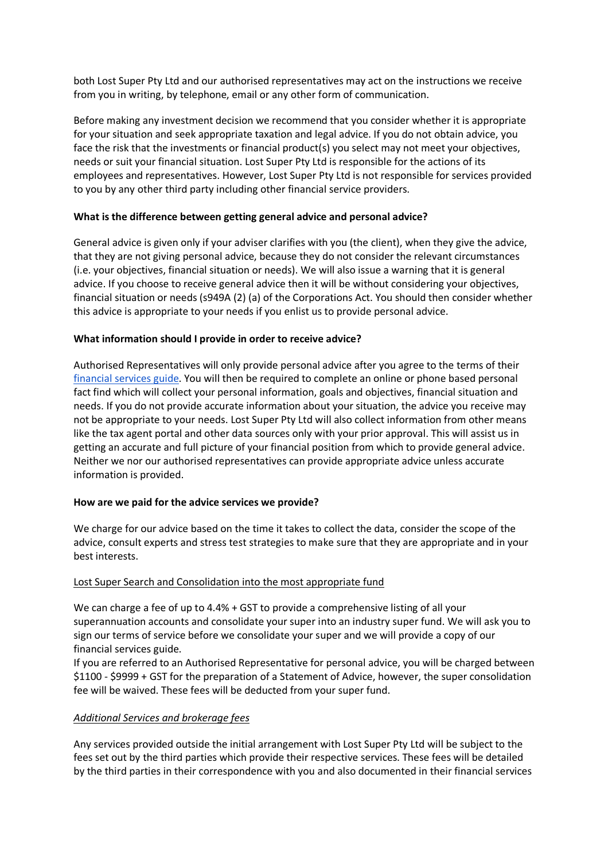both Lost Super Pty Ltd and our authorised representatives may act on the instructions we receive from you in writing, by telephone, email or any other form of communication.

Before making any investment decision we recommend that you consider whether it is appropriate for your situation and seek appropriate taxation and legal advice. If you do not obtain advice, you face the risk that the investments or financial product(s) you select may not meet your objectives, needs or suit your financial situation. Lost Super Pty Ltd is responsible for the actions of its employees and representatives. However, Lost Super Pty Ltd is not responsible for services provided to you by any other third party including other financial service providers.

## **What is the difference between getting general advice and personal advice?**

General advice is given only if your adviser clarifies with you (the client), when they give the advice, that they are not giving personal advice, because they do not consider the relevant circumstances (i.e. your objectives, financial situation or needs). We will also issue a warning that it is general advice. If you choose to receive general advice then it will be without considering your objectives, financial situation or needs (s949A (2) (a) of the Corporations Act. You should then consider whether this advice is appropriate to your needs if you enlist us to provide personal advice.

## **What information should I provide in order to receive advice?**

Authorised Representatives will only provide personal advice after you agree to the terms of their financial services guide. You will then be required to complete an online or phone based personal fact find which will collect your personal information, goals and objectives, financial situation and needs. If you do not provide accurate information about your situation, the advice you receive may not be appropriate to your needs. Lost Super Pty Ltd will also collect information from other means like the tax agent portal and other data sources only with your prior approval. This will assist us in getting an accurate and full picture of your financial position from which to provide general advice. Neither we nor our authorised representatives can provide appropriate advice unless accurate information is provided.

### **How are we paid for the advice services we provide?**

We charge for our advice based on the time it takes to collect the data, consider the scope of the advice, consult experts and stress test strategies to make sure that they are appropriate and in your best interests.

### Lost Super Search and Consolidation into the most appropriate fund

We can charge a fee of up to 4.4% + GST to provide a comprehensive listing of all your superannuation accounts and consolidate your super into an industry super fund. We will ask you to sign our terms of service before we consolidate your super and we will provide a copy of our financial services guide.

If you are referred to an Authorised Representative for personal advice, you will be charged between \$1100 - \$9999 + GST for the preparation of a Statement of Advice, however, the super consolidation fee will be waived. These fees will be deducted from your super fund.

### *Additional Services and brokerage fees*

Any services provided outside the initial arrangement with Lost Super Pty Ltd will be subject to the fees set out by the third parties which provide their respective services. These fees will be detailed by the third parties in their correspondence with you and also documented in their financial services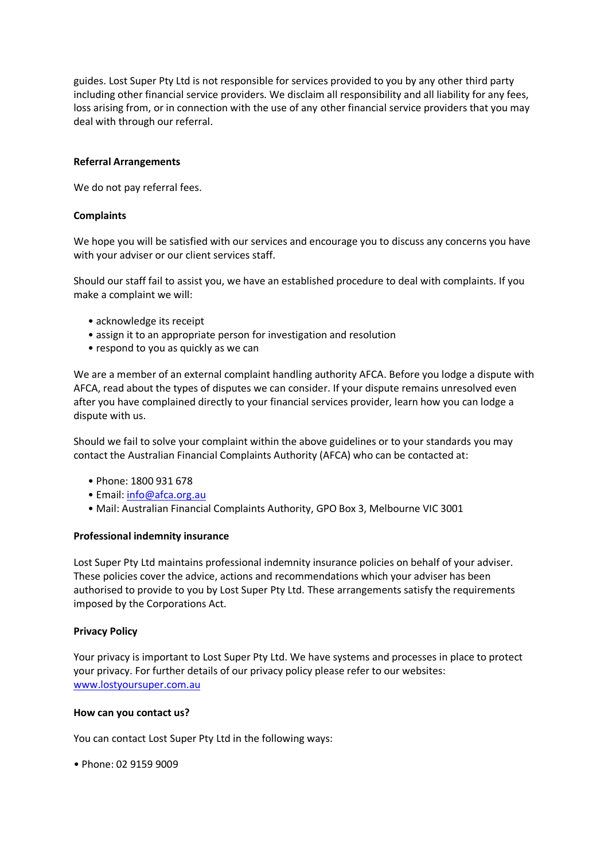guides. Lost Super Pty Ltd is not responsible for services provided to you by any other third party including other financial service providers. We disclaim all responsibility and all liability for any fees, loss arising from, or in connection with the use of any other financial service providers that you may deal with through our referral.

### **Referral Arrangements**

We do not pay referral fees.

### **Complaints**

We hope you will be satisfied with our services and encourage you to discuss any concerns you have with your adviser or our client services staff.

Should our staff fail to assist you, we have an established procedure to deal with complaints. If you make a complaint we will:

- acknowledge its receipt
- assign it to an appropriate person for investigation and resolution
- respond to you as quickly as we can

We are a member of an external complaint handling authority AFCA. Before you lodge a dispute with AFCA, read about the types of disputes we can consider. If your dispute remains unresolved even after you have complained directly to your financial services provider, learn how you can lodge a dispute with us.

Should we fail to solve your complaint within the above guidelines or to your standards you may contact the Australian Financial Complaints Authority (AFCA) who can be contacted at:

- Phone: 1800 931 678
- Email: info@afca.org.au
- Mail: Australian Financial Complaints Authority, GPO Box 3, Melbourne VIC 3001

#### **Professional indemnity insurance**

Lost Super Pty Ltd maintains professional indemnity insurance policies on behalf of your adviser. These policies cover the advice, actions and recommendations which your adviser has been authorised to provide to you by Lost Super Pty Ltd. These arrangements satisfy the requirements imposed by the Corporations Act.

#### **Privacy Policy**

Your privacy is important to Lost Super Pty Ltd. We have systems and processes in place to protect your privacy. For further details of our privacy policy please refer to our websites: www.lostyoursuper.com.au

#### **How can you contact us?**

You can contact Lost Super Pty Ltd in the following ways:

• Phone: 02 9159 9009